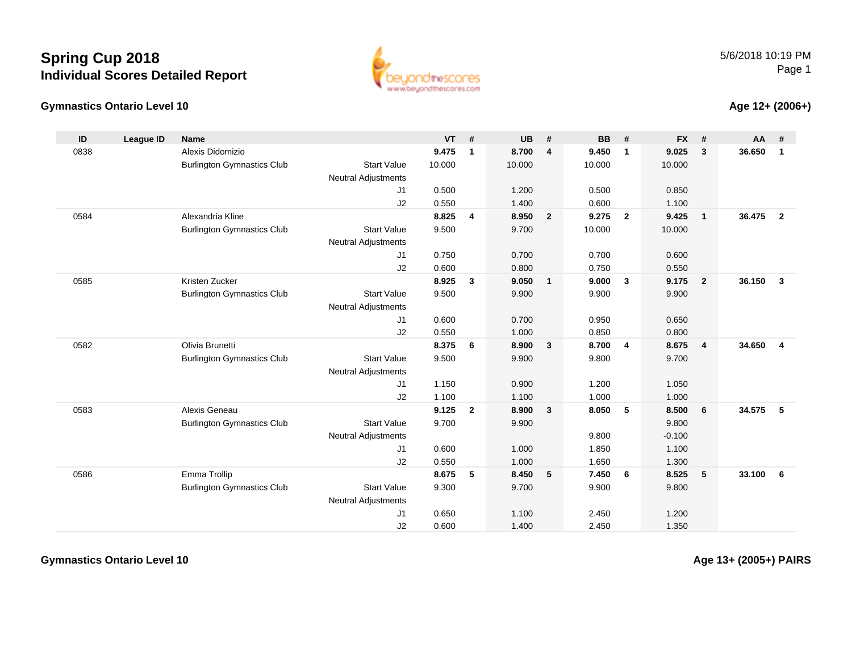## **Spring Cup 2018Individual Scores Detailed Report**

## **Gymnastics Ontario Level 10**



## **Age 12+ (2006+)**

| ID   | <b>League ID</b> | <b>Name</b>                       |                            | $VT$ # |                | <b>UB</b> | #              | <b>BB</b> | #              | <b>FX</b> | #                       | <b>AA</b> | #              |
|------|------------------|-----------------------------------|----------------------------|--------|----------------|-----------|----------------|-----------|----------------|-----------|-------------------------|-----------|----------------|
| 0838 |                  | Alexis Didomizio                  |                            | 9.475  | $\mathbf{1}$   | 8.700     | 4              | 9.450     | $\mathbf{1}$   | 9.025     | 3                       | 36.650    | $\mathbf{1}$   |
|      |                  | <b>Burlington Gymnastics Club</b> | <b>Start Value</b>         | 10.000 |                | 10.000    |                | 10.000    |                | 10.000    |                         |           |                |
|      |                  |                                   | <b>Neutral Adjustments</b> |        |                |           |                |           |                |           |                         |           |                |
|      |                  |                                   | J1                         | 0.500  |                | 1.200     |                | 0.500     |                | 0.850     |                         |           |                |
|      |                  |                                   | J2                         | 0.550  |                | 1.400     |                | 0.600     |                | 1.100     |                         |           |                |
| 0584 |                  | Alexandria Kline                  |                            | 8.825  | 4              | 8.950     | $\overline{2}$ | 9.275     | $\overline{2}$ | 9.425     | $\overline{\mathbf{1}}$ | 36.475    | $\overline{2}$ |
|      |                  | <b>Burlington Gymnastics Club</b> | <b>Start Value</b>         | 9.500  |                | 9.700     |                | 10.000    |                | 10.000    |                         |           |                |
|      |                  |                                   | <b>Neutral Adjustments</b> |        |                |           |                |           |                |           |                         |           |                |
|      |                  |                                   | J1                         | 0.750  |                | 0.700     |                | 0.700     |                | 0.600     |                         |           |                |
|      |                  |                                   | J2                         | 0.600  |                | 0.800     |                | 0.750     |                | 0.550     |                         |           |                |
| 0585 |                  | Kristen Zucker                    |                            | 8.925  | 3              | 9.050     | $\mathbf{1}$   | 9.000     | $\mathbf{3}$   | 9.175     | $\overline{2}$          | 36.150    | $\mathbf{3}$   |
|      |                  | <b>Burlington Gymnastics Club</b> | <b>Start Value</b>         | 9.500  |                | 9.900     |                | 9.900     |                | 9.900     |                         |           |                |
|      |                  |                                   | <b>Neutral Adjustments</b> |        |                |           |                |           |                |           |                         |           |                |
|      |                  |                                   | J1                         | 0.600  |                | 0.700     |                | 0.950     |                | 0.650     |                         |           |                |
|      |                  |                                   | J2                         | 0.550  |                | 1.000     |                | 0.850     |                | 0.800     |                         |           |                |
| 0582 |                  | Olivia Brunetti                   |                            | 8.375  | 6              | 8.900     | $\mathbf{3}$   | 8.700     | $\overline{4}$ | 8.675     | $\overline{4}$          | 34.650    | $\overline{4}$ |
|      |                  | <b>Burlington Gymnastics Club</b> | <b>Start Value</b>         | 9.500  |                | 9.900     |                | 9.800     |                | 9.700     |                         |           |                |
|      |                  |                                   | <b>Neutral Adjustments</b> |        |                |           |                |           |                |           |                         |           |                |
|      |                  |                                   | J1                         | 1.150  |                | 0.900     |                | 1.200     |                | 1.050     |                         |           |                |
|      |                  |                                   | J2                         | 1.100  |                | 1.100     |                | 1.000     |                | 1.000     |                         |           |                |
| 0583 |                  | Alexis Geneau                     |                            | 9.125  | $\overline{2}$ | 8.900     | 3              | 8.050     | 5              | 8.500     | 6                       | 34.575    | 5              |
|      |                  | <b>Burlington Gymnastics Club</b> | <b>Start Value</b>         | 9.700  |                | 9.900     |                |           |                | 9.800     |                         |           |                |
|      |                  |                                   | <b>Neutral Adjustments</b> |        |                |           |                | 9.800     |                | $-0.100$  |                         |           |                |
|      |                  |                                   | J1                         | 0.600  |                | 1.000     |                | 1.850     |                | 1.100     |                         |           |                |
|      |                  |                                   | J2                         | 0.550  |                | 1.000     |                | 1.650     |                | 1.300     |                         |           |                |
| 0586 |                  | Emma Trollip                      |                            | 8.675  | 5              | 8.450     | 5              | 7.450     | 6              | 8.525     | 5                       | 33.100    | 6              |
|      |                  | <b>Burlington Gymnastics Club</b> | <b>Start Value</b>         | 9.300  |                | 9.700     |                | 9.900     |                | 9.800     |                         |           |                |
|      |                  |                                   | <b>Neutral Adjustments</b> |        |                |           |                |           |                |           |                         |           |                |
|      |                  |                                   | J1                         | 0.650  |                | 1.100     |                | 2.450     |                | 1.200     |                         |           |                |
|      |                  |                                   | J2                         | 0.600  |                | 1.400     |                | 2.450     |                | 1.350     |                         |           |                |

**Gymnastics Ontario Level 10**

**Age 13+ (2005+) PAIRS**